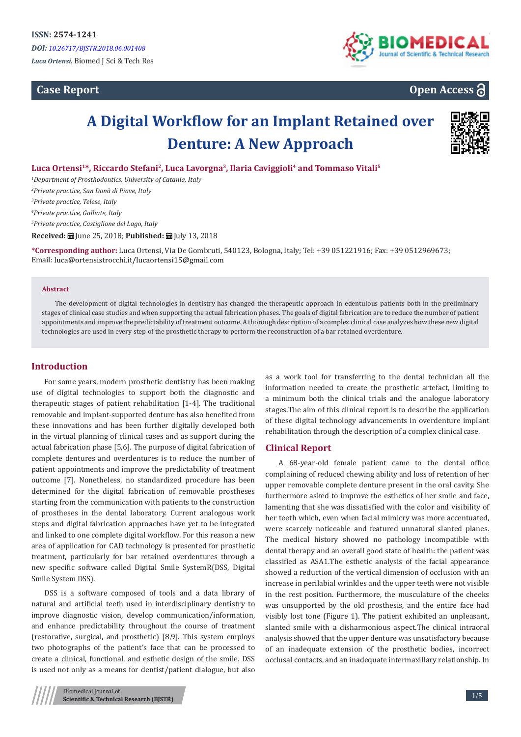## **Case Report**



## **Open Access**

# **A Digital Workflow for an Implant Retained over Denture: A New Approach**



**Luca Ortensi<sup>1</sup>\*, Riccardo Stefani<sup>2</sup>, Luca Lavorgna<sup>3</sup>, Ilaria Caviggioli<sup>4</sup> and Tommaso Vitali<sup>5</sup>**

 *Department of Prosthodontics, University of Catania, Italy Private practice, San Donà di Piave, Italy Private practice, Telese, Italy Private practice, Galliate, Italy Private practice, Castiglione del Lago, Italy* **Received:** | June 25, 2018: **Published:** | July 13, 2018

**\*Corresponding author:** Luca Ortensi, Via De Gombruti, 540123, Bologna, Italy; Tel: +39 051221916; Fax: +39 0512969673; Email: luca@ortensistrocchi.it/lucaortensi15@gmail.com

#### **Abstract**

The development of digital technologies in dentistry has changed the therapeutic approach in edentulous patients both in the preliminary stages of clinical case studies and when supporting the actual fabrication phases. The goals of digital fabrication are to reduce the number of patient appointments and improve the predictability of treatment outcome. A thorough description of a complex clinical case analyzes how these new digital technologies are used in every step of the prosthetic therapy to perform the reconstruction of a bar retained overdenture.

#### **Introduction**

For some years, modern prosthetic dentistry has been making use of digital technologies to support both the diagnostic and therapeutic stages of patient rehabilitation [1-4]. The traditional removable and implant-supported denture has also benefited from these innovations and has been further digitally developed both in the virtual planning of clinical cases and as support during the actual fabrication phase [5,6]. The purpose of digital fabrication of complete dentures and overdentures is to reduce the number of patient appointments and improve the predictability of treatment outcome [7]. Nonetheless, no standardized procedure has been determined for the digital fabrication of removable prostheses starting from the communication with patients to the construction of prostheses in the dental laboratory. Current analogous work steps and digital fabrication approaches have yet to be integrated and linked to one complete digital workflow. For this reason a new area of application for CAD technology is presented for prosthetic treatment, particularly for bar retained overdentures through a new specific software called Digital Smile SystemR(DSS, Digital Smile System DSS).

DSS is a software composed of tools and a data library of natural and artificial teeth used in interdisciplinary dentistry to improve diagnostic vision, develop communication/information, and enhance predictability throughout the course of treatment (restorative, surgical, and prosthetic) [8,9]. This system employs two photographs of the patient's face that can be processed to create a clinical, functional, and esthetic design of the smile. DSS is used not only as a means for dentist/patient dialogue, but also

information needed to create the prosthetic artefact, limiting to a minimum both the clinical trials and the analogue laboratory stages.The aim of this clinical report is to describe the application of these digital technology advancements in overdenture implant rehabilitation through the description of a complex clinical case.

as a work tool for transferring to the dental technician all the

## **Clinical Report**

A 68-year-old female patient came to the dental office complaining of reduced chewing ability and loss of retention of her upper removable complete denture present in the oral cavity. She furthermore asked to improve the esthetics of her smile and face, lamenting that she was dissatisfied with the color and visibility of her teeth which, even when facial mimicry was more accentuated, were scarcely noticeable and featured unnatural slanted planes. The medical history showed no pathology incompatible with dental therapy and an overall good state of health: the patient was classified as ASA1.The esthetic analysis of the facial appearance showed a reduction of the vertical dimension of occlusion with an increase in perilabial wrinkles and the upper teeth were not visible in the rest position. Furthermore, the musculature of the cheeks was unsupported by the old prosthesis, and the entire face had visibly lost tone (Figure 1). The patient exhibited an unpleasant, slanted smile with a disharmonious aspect.The clinical intraoral analysis showed that the upper denture was unsatisfactory because of an inadequate extension of the prosthetic bodies, incorrect occlusal contacts, and an inadequate intermaxillary relationship. In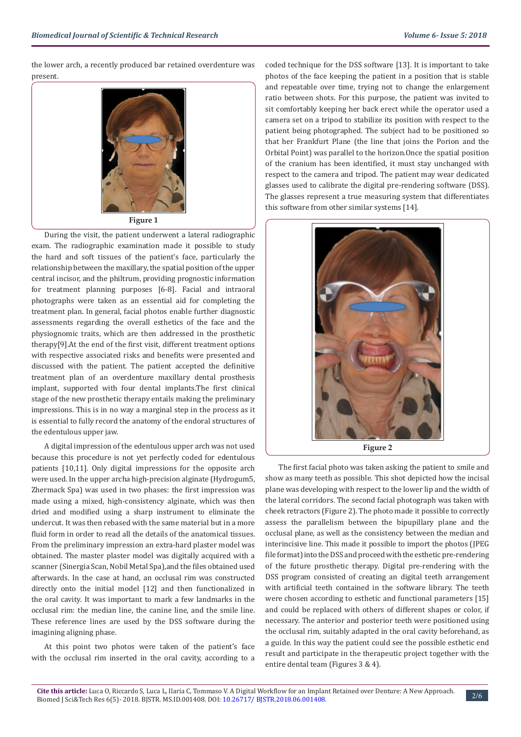the lower arch, a recently produced bar retained overdenture was present.



**Figure 1**

During the visit, the patient underwent a lateral radiographic exam. The radiographic examination made it possible to study the hard and soft tissues of the patient's face, particularly the relationship between the maxillary, the spatial position of the upper central incisor, and the philtrum, providing prognostic information for treatment planning purposes [6-8]. Facial and intraoral photographs were taken as an essential aid for completing the treatment plan. In general, facial photos enable further diagnostic assessments regarding the overall esthetics of the face and the physiognomic traits, which are then addressed in the prosthetic therapy[9].At the end of the first visit, different treatment options with respective associated risks and benefits were presented and discussed with the patient. The patient accepted the definitive treatment plan of an overdenture maxillary dental prosthesis implant, supported with four dental implants.The first clinical stage of the new prosthetic therapy entails making the preliminary impressions. This is in no way a marginal step in the process as it is essential to fully record the anatomy of the endoral structures of the edentulous upper jaw.

A digital impression of the edentulous upper arch was not used because this procedure is not yet perfectly coded for edentulous patients [10,11]. Only digital impressions for the opposite arch were used. In the upper archa high-precision alginate (Hydrogum5, Zhermack Spa) was used in two phases: the first impression was made using a mixed, high-consistency alginate, which was then dried and modified using a sharp instrument to eliminate the undercut. It was then rebased with the same material but in a more fluid form in order to read all the details of the anatomical tissues. From the preliminary impression an extra-hard plaster model was obtained. The master plaster model was digitally acquired with a scanner (Sinergia Scan, Nobil Metal Spa),and the files obtained used afterwards. In the case at hand, an occlusal rim was constructed directly onto the initial model [12] and then functionalized in the oral cavity. It was important to mark a few landmarks in the occlusal rim: the median line, the canine line, and the smile line. These reference lines are used by the DSS software during the imagining aligning phase.

At this point two photos were taken of the patient's face with the occlusal rim inserted in the oral cavity, according to a coded technique for the DSS software [13]. It is important to take photos of the face keeping the patient in a position that is stable and repeatable over time, trying not to change the enlargement ratio between shots. For this purpose, the patient was invited to sit comfortably keeping her back erect while the operator used a camera set on a tripod to stabilize its position with respect to the patient being photographed. The subject had to be positioned so that her Frankfurt Plane (the line that joins the Porion and the Orbital Point) was parallel to the horizon.Once the spatial position of the cranium has been identified, it must stay unchanged with respect to the camera and tripod. The patient may wear dedicated glasses used to calibrate the digital pre-rendering software (DSS). The glasses represent a true measuring system that differentiates this software from other similar systems [14].



**Figure 2**

The first facial photo was taken asking the patient to smile and show as many teeth as possible. This shot depicted how the incisal plane was developing with respect to the lower lip and the width of the lateral corridors. The second facial photograph was taken with cheek retractors (Figure 2). The photo made it possible to correctly assess the parallelism between the bipupillary plane and the occlusal plane, as well as the consistency between the median and interincisive line. This made it possible to import the photos (JPEG file format) into the DSS and proceed with the esthetic pre-rendering of the future prosthetic therapy. Digital pre-rendering with the DSS program consisted of creating an digital teeth arrangement with artificial teeth contained in the software library. The teeth were chosen according to esthetic and functional parameters [15] and could be replaced with others of different shapes or color, if necessary. The anterior and posterior teeth were positioned using the occlusal rim, suitably adapted in the oral cavity beforehand, as a guide. In this way the patient could see the possible esthetic end result and participate in the therapeutic project together with the entire dental team (Figures 3 & 4).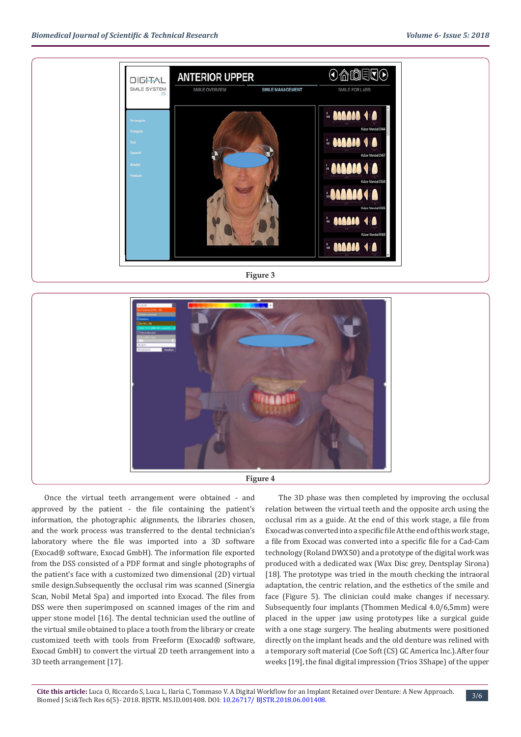

**Figure 3**



Once the virtual teeth arrangement were obtained - and approved by the patient - the file containing the patient's information, the photographic alignments, the libraries chosen, and the work process was transferred to the dental technician's laboratory where the file was imported into a 3D software (Exocad® software, Exocad GmbH). The information file exported from the DSS consisted of a PDF format and single photographs of the patient's face with a customized two dimensional (2D) virtual smile design.Subsequently the occlusal rim was scanned (Sinergia Scan, Nobil Metal Spa) and imported into Exocad. The files from DSS were then superimposed on scanned images of the rim and upper stone model [16]. The dental technician used the outline of the virtual smile obtained to place a tooth from the library or create customized teeth with tools from Freeform (Exocad® software, Exocad GmbH) to convert the virtual 2D teeth arrangement into a 3D teeth arrangement [17].

The 3D phase was then completed by improving the occlusal relation between the virtual teeth and the opposite arch using the occlusal rim as a guide. At the end of this work stage, a file from Exocad was converted into a specific file At the end of this work stage, a file from Exocad was converted into a specific file for a Cad-Cam technology (Roland DWX50) and a prototype of the digital work was produced with a dedicated wax (Wax Disc grey, Dentsplay Sirona) [18]. The prototype was tried in the mouth checking the intraoral adaptation, the centric relation, and the esthetics of the smile and face (Figure 5). The clinician could make changes if necessary. Subsequently four implants (Thommen Medical 4.0/6,5mm) were placed in the upper jaw using prototypes like a surgical guide with a one stage surgery. The healing abutments were positioned directly on the implant heads and the old denture was relined with a temporary soft material (Coe Soft (CS) GC America Inc.).After four weeks [19], the final digital impression (Trios 3Shape) of the upper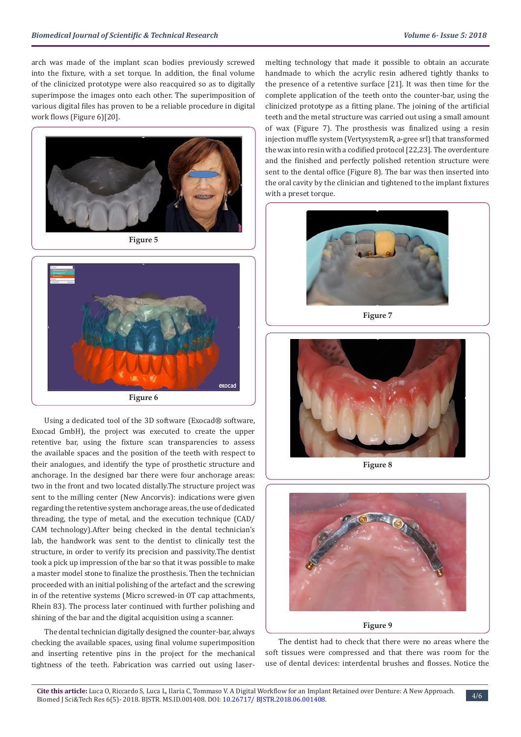arch was made of the implant scan bodies previously screwed into the fixture, with a set torque. In addition, the final volume of the clinicized prototype were also reacquired so as to digitally superimpose the images onto each other. The superimposition of various digital files has proven to be a reliable procedure in digital work flows (Figure 6)[20].



**Figure 5**



Using a dedicated tool of the 3D software (Exocad® software, Exocad GmbH), the project was executed to create the upper retentive bar, using the fixture scan transparencies to assess the available spaces and the position of the teeth with respect to their analogues, and identify the type of prosthetic structure and anchorage. In the designed bar there were four anchorage areas: two in the front and two located distally.The structure project was sent to the milling center (New Ancorvis): indications were given regarding the retentive system anchorage areas, the use of dedicated threading, the type of metal, and the execution technique (CAD/ CAM technology).After being checked in the dental technician's lab, the handwork was sent to the dentist to clinically test the structure, in order to verify its precision and passivity.The dentist took a pick up impression of the bar so that it was possible to make a master model stone to finalize the prosthesis. Then the technician proceeded with an initial polishing of the artefact and the screwing in of the retentive systems (Micro screwed-in OT cap attachments, Rhein 83). The process later continued with further polishing and shining of the bar and the digital acquisition using a scanner.

The dental technician digitally designed the counter-bar, always checking the available spaces, using final volume superimposition and inserting retentive pins in the project for the mechanical tightness of the teeth. Fabrication was carried out using lasermelting technology that made it possible to obtain an accurate handmade to which the acrylic resin adhered tightly thanks to the presence of a retentive surface [21]. It was then time for the complete application of the teeth onto the counter-bar, using the clinicized prototype as a fitting plane. The joining of the artificial teeth and the metal structure was carried out using a small amount of wax (Figure 7). The prosthesis was finalized using a resin injection muffle system (VertysystemR, a-gree srl) that transformed the wax into resin with a codified protocol [22,23]. The overdenture and the finished and perfectly polished retention structure were sent to the dental office (Figure 8). The bar was then inserted into the oral cavity by the clinician and tightened to the implant fixtures with a preset torque.



**Figure 7**



**Figure 8**



The dentist had to check that there were no areas where the soft tissues were compressed and that there was room for the use of dental devices: interdental brushes and flosses. Notice the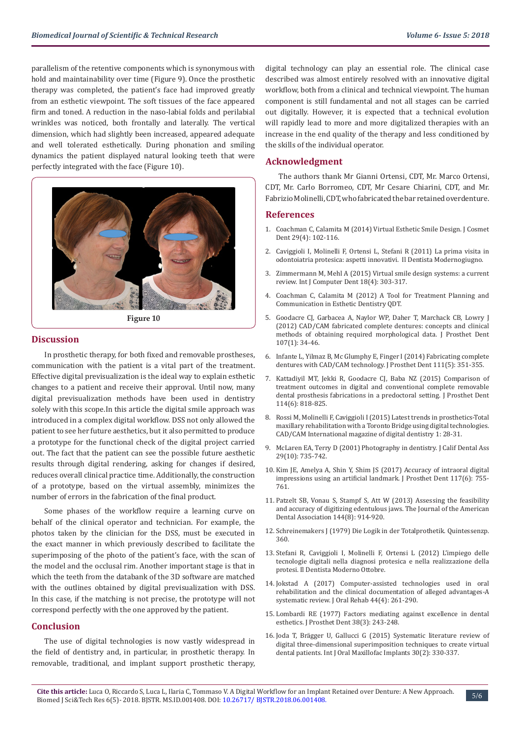parallelism of the retentive components which is synonymous with hold and maintainability over time (Figure 9). Once the prosthetic therapy was completed, the patient's face had improved greatly from an esthetic viewpoint. The soft tissues of the face appeared firm and toned. A reduction in the naso-labial folds and perilabial wrinkles was noticed, both frontally and laterally. The vertical dimension, which had slightly been increased, appeared adequate and well tolerated esthetically. During phonation and smiling dynamics the patient displayed natural looking teeth that were perfectly integrated with the face (Figure 10).



**Figure 10**

#### **Discussion**

In prosthetic therapy, for both fixed and removable prostheses, communication with the patient is a vital part of the treatment. Effective digital previsualization is the ideal way to explain esthetic changes to a patient and receive their approval. Until now, many digital previsualization methods have been used in dentistry solely with this scope.In this article the digital smile approach was introduced in a complex digital workflow. DSS not only allowed the patient to see her future aesthetics, but it also permitted to produce a prototype for the functional check of the digital project carried out. The fact that the patient can see the possible future aesthetic results through digital rendering, asking for changes if desired, reduces overall clinical practice time. Additionally, the construction of a prototype, based on the virtual assembly, minimizes the number of errors in the fabrication of the final product.

Some phases of the workflow require a learning curve on behalf of the clinical operator and technician. For example, the photos taken by the clinician for the DSS, must be executed in the exact manner in which previously described to facilitate the superimposing of the photo of the patient's face, with the scan of the model and the occlusal rim. Another important stage is that in which the teeth from the databank of the 3D software are matched with the outlines obtained by digital previsualization with DSS. In this case, if the matching is not precise, the prototype will not correspond perfectly with the one approved by the patient.

### **Conclusion**

The use of digital technologies is now vastly widespread in the field of dentistry and, in particular, in prosthetic therapy. In removable, traditional, and implant support prosthetic therapy, digital technology can play an essential role. The clinical case described was almost entirely resolved with an innovative digital workflow, both from a clinical and technical viewpoint. The human component is still fundamental and not all stages can be carried out digitally. However, it is expected that a technical evolution will rapidly lead to more and more digitalized therapies with an increase in the end quality of the therapy and less conditioned by the skills of the individual operator.

#### **Acknowledgment**

The authors thank Mr Gianni Ortensi, CDT, Mr. Marco Ortensi, CDT, Mr. Carlo Borromeo, CDT, Mr Cesare Chiarini, CDT, and Mr. Fabrizio Molinelli, CDT, who fabricated the bar retained overdenture.

#### **References**

- 1. [Coachman C, Calamita M \(2014\) Virtual Esthetic Smile Design. J Cosmet](http://www.ildentistamoderno.com/la-prima-visita-in-odontoiatria-protesica-aspetti-innovativi/) [Dent 29\(4\): 102-116.](http://www.ildentistamoderno.com/la-prima-visita-in-odontoiatria-protesica-aspetti-innovativi/)
- 2. [Caviggioli I, Molinelli F, Ortensi L, Stefani R \(2011\) La prima visita in](http://www.ildentistamoderno.com/la-prima-visita-in-odontoiatria-protesica-aspetti-innovativi/) [odontoiatria protesica: aspetti innovativi. Il Dentista Modernogiugno.](http://www.ildentistamoderno.com/la-prima-visita-in-odontoiatria-protesica-aspetti-innovativi/)
- 3. [Zimmermann M, Mehl A \(2015\) Virtual smile design systems: a current](https://www.ncbi.nlm.nih.gov/pubmed/26734665) [review. Int J Computer Dent 18\(4\): 303-317.](https://www.ncbi.nlm.nih.gov/pubmed/26734665)
- 4. Coachman C, Calamita M (2012) A Tool for Treatment Planning and Communication in Esthetic Dentistry QDT.
- 5. [Goodacre CJ, Garbacea A, Naylor WP, Daher T, Marchack CB, Lowry J](https://www.ncbi.nlm.nih.gov/pubmed/22230914) [\(2012\) CAD/CAM fabricated complete dentures: concepts and clinical](https://www.ncbi.nlm.nih.gov/pubmed/22230914) [methods of obtaining required morphological data. J Prosthet Dent](https://www.ncbi.nlm.nih.gov/pubmed/22230914) [107\(1\): 34-46.](https://www.ncbi.nlm.nih.gov/pubmed/22230914)
- 6. [Infante L, Yilmaz B, Mc Glumphy E, Finger I \(2014\) Fabricating complete](https://www.thejpd.org/article/S0022-3913(13)00374-0/abstract) [dentures with CAD/CAM technology. J Prosthet Dent 111\(5\): 351-355.](https://www.thejpd.org/article/S0022-3913(13)00374-0/abstract)
- 7. [Kattadiyil MT, Jekki R, Goodacre CJ, Baba NZ \(2015\) Comparison of](https://www.ncbi.nlm.nih.gov/pubmed/26412000) [treatment outcomes in digital and conventional complete removable](https://www.ncbi.nlm.nih.gov/pubmed/26412000) [dental prosthesis fabrications in a predoctoral setting. J Prosthet Dent](https://www.ncbi.nlm.nih.gov/pubmed/26412000) [114\(6\): 818-825.](https://www.ncbi.nlm.nih.gov/pubmed/26412000)
- 8. Rossi M, Molinelli F, Caviggioli I (2015) Latest trends in prosthetics-Total maxillary rehabilitation with a Toronto Bridge using digital technologies. CAD/CAM International magazine of digital dentistry 1: 28-31.
- 9. McLaren EA, Terry D (2001) Photography in dentistry. J Calif Dental Ass 29(10): 735-742.
- 10. [Kim JE, Amelya A, Shin Y, Shim JS \(2017\) Accuracy of intraoral digital](https://www.thejpd.org/article/S0022-3913(16)30465-6/abstract?code=ympr-site) [impressions using an artificial landmark. J Prosthet Dent 117\(6\): 755-](https://www.thejpd.org/article/S0022-3913(16)30465-6/abstract?code=ympr-site) [761.](https://www.thejpd.org/article/S0022-3913(16)30465-6/abstract?code=ympr-site)
- 11. [Patzelt SB, Vonau S, Stampf S, Att W \(2013\) Assessing the feasibility](https://www.ncbi.nlm.nih.gov/pubmed/23904578) [and accuracy of digitizing edentulous jaws. The Journal of the American](https://www.ncbi.nlm.nih.gov/pubmed/23904578) [Dental Association 144\(8\): 914-920.](https://www.ncbi.nlm.nih.gov/pubmed/23904578)
- 12. [Schreinemakers J \(1979\) Die Logik in der Totalprothetik. Quintessenzp.](https://books.google.co.in/books/about/Die_Logik_in_der_Totalprothetik.html?id=NhciAAAACAAJ&redir_esc=y) [360.](https://books.google.co.in/books/about/Die_Logik_in_der_Totalprothetik.html?id=NhciAAAACAAJ&redir_esc=y)
- 13. [Stefani R, Caviggioli I, Molinelli F, Ortensi L \(2012\) L'impiego delle](http://www.ildentistamoderno.com/limpiego-delle-tecnologie-digitali-nella-diagnosi-protesica-e-nella-realizzazione-della-protesi/) [tecnologie digitali nella diagnosi protesica e nella realizzazione della](http://www.ildentistamoderno.com/limpiego-delle-tecnologie-digitali-nella-diagnosi-protesica-e-nella-realizzazione-della-protesi/) [protesi. Il Dentista Moderno Ottobre.](http://www.ildentistamoderno.com/limpiego-delle-tecnologie-digitali-nella-diagnosi-protesica-e-nella-realizzazione-della-protesi/)
- 14. [Jokstad A \(2017\) Computer-assisted technologies used in oral](https://www.ncbi.nlm.nih.gov/pubmed/28109024) [rehabilitation and the clinical documentation of alleged advantages-A](https://www.ncbi.nlm.nih.gov/pubmed/28109024) [systematic review. J Oral Rehab 44\(4\): 261-290.](https://www.ncbi.nlm.nih.gov/pubmed/28109024)
- 15. [Lombardi RE \(1977\) Factors mediating against excellence in dental](https://www.ncbi.nlm.nih.gov/pubmed/333098) [esthetics. J Prosthet Dent 38\(3\): 243-248.](https://www.ncbi.nlm.nih.gov/pubmed/333098)
- 16. [Joda T, Brägger U, Gallucci G \(2015\) Systematic literature review of](https://www.ncbi.nlm.nih.gov/pubmed/25830393) [digital three-dimensional superimposition techniques to create virtual](https://www.ncbi.nlm.nih.gov/pubmed/25830393) [dental patients. Int J Oral Maxillofac Implants 30\(2\): 330-337.](https://www.ncbi.nlm.nih.gov/pubmed/25830393)